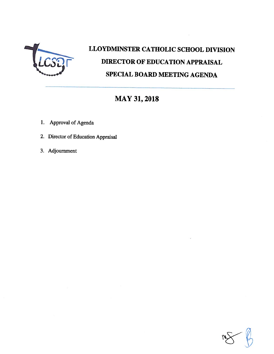

# LLOYDMINSTER CATHOLIC SCHOOL DIVISION DIRECTOR OF EDUCATION APPRAISAL SPECIAL BOARD MEETING AGENDA

# MAY 31, 2018

- 1. Approval of Agenda
- 2. Director of Education Appraisal
- 3. Adjournment